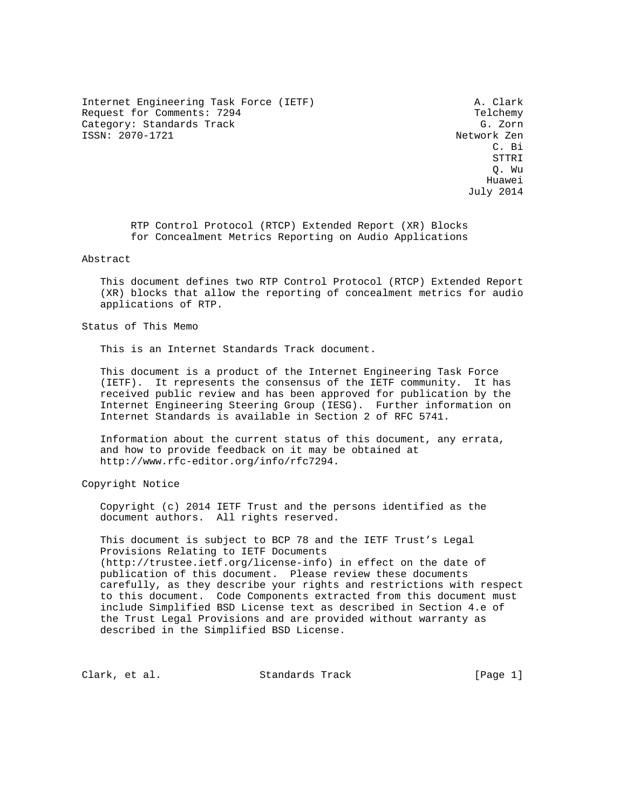Internet Engineering Task Force (IETF) A. Clark Request for Comments: 7294 Telchemy Category: Standards Track G. Zorn ISSN: 2070-1721 Network Zen

 C. Bi STTRI Q. Wu he distributed by the control of the control of the control of the control of the control of the control of the control of the control of the control of the control of the control of the control of the control of the contr July 2014

> RTP Control Protocol (RTCP) Extended Report (XR) Blocks for Concealment Metrics Reporting on Audio Applications

### Abstract

 This document defines two RTP Control Protocol (RTCP) Extended Report (XR) blocks that allow the reporting of concealment metrics for audio applications of RTP.

Status of This Memo

This is an Internet Standards Track document.

 This document is a product of the Internet Engineering Task Force (IETF). It represents the consensus of the IETF community. It has received public review and has been approved for publication by the Internet Engineering Steering Group (IESG). Further information on Internet Standards is available in Section 2 of RFC 5741.

 Information about the current status of this document, any errata, and how to provide feedback on it may be obtained at http://www.rfc-editor.org/info/rfc7294.

Copyright Notice

 Copyright (c) 2014 IETF Trust and the persons identified as the document authors. All rights reserved.

 This document is subject to BCP 78 and the IETF Trust's Legal Provisions Relating to IETF Documents (http://trustee.ietf.org/license-info) in effect on the date of publication of this document. Please review these documents carefully, as they describe your rights and restrictions with respect to this document. Code Components extracted from this document must include Simplified BSD License text as described in Section 4.e of the Trust Legal Provisions and are provided without warranty as described in the Simplified BSD License.

Clark, et al. Standards Track [Page 1]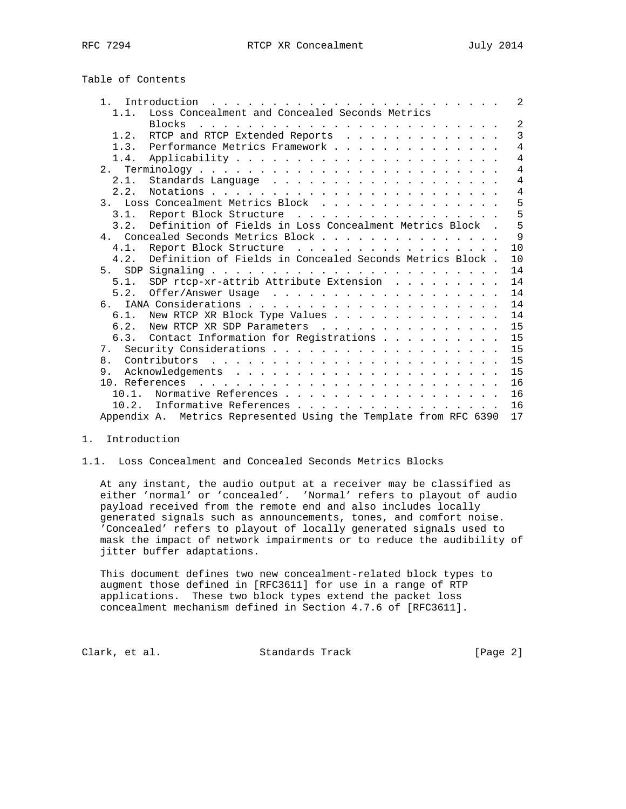# Table of Contents

| 1 <sup>1</sup>                                                   | 2              |
|------------------------------------------------------------------|----------------|
| Loss Concealment and Concealed Seconds Metrics<br>1.1.           |                |
| <b>Blocks</b>                                                    | 2              |
| RTCP and RTCP Extended Reports<br>1.2.                           | 3              |
| Performance Metrics Framework<br>1.3.                            | $\overline{4}$ |
| 1.4.                                                             | $\overline{4}$ |
|                                                                  | $\overline{4}$ |
| 2.1.                                                             | $\overline{4}$ |
| 2.2.                                                             | $\overline{4}$ |
| 3. Loss Concealment Metrics Block                                | 5              |
| Report Block Structure<br>3.1.                                   | 5              |
| Definition of Fields in Loss Concealment Metrics Block.<br>3.2.  | 5              |
| 4. Concealed Seconds Metrics Block                               | 9              |
| Report Block Structure<br>4.1.                                   | 10             |
| Definition of Fields in Concealed Seconds Metrics Block.<br>4.2. | 10             |
| 5.                                                               | 14             |
| SDP rtcp-xr-attrib Attribute Extension<br>5.1.                   | 14             |
| 5.2.                                                             | 14             |
| რ.                                                               | 14             |
| New RTCP XR Block Type Values<br>$6.1$ .                         | 14             |
| New RTCP XR SDP Parameters<br>6.2.                               | 15             |
| Contact Information for Registrations<br>6.3.                    | 15             |
|                                                                  | 15             |
| 8.                                                               | 15             |
| 9                                                                | 15             |
|                                                                  | 16             |
| Normative References<br>10.1.                                    | 16             |
| Informative References<br>10.2.                                  | 16             |
| Appendix A. Metrics Represented Using the Template from RFC 6390 | 17             |

#### 1. Introduction

## 1.1. Loss Concealment and Concealed Seconds Metrics Blocks

 At any instant, the audio output at a receiver may be classified as either 'normal' or 'concealed'. 'Normal' refers to playout of audio payload received from the remote end and also includes locally generated signals such as announcements, tones, and comfort noise. 'Concealed' refers to playout of locally generated signals used to mask the impact of network impairments or to reduce the audibility of jitter buffer adaptations.

 This document defines two new concealment-related block types to augment those defined in [RFC3611] for use in a range of RTP applications. These two block types extend the packet loss concealment mechanism defined in Section 4.7.6 of [RFC3611].

Clark, et al. Standards Track [Page 2]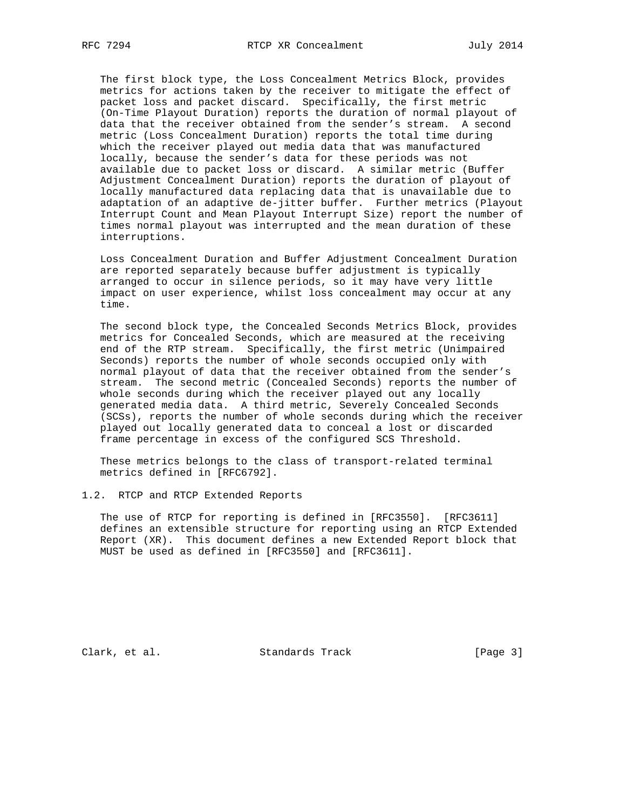The first block type, the Loss Concealment Metrics Block, provides metrics for actions taken by the receiver to mitigate the effect of packet loss and packet discard. Specifically, the first metric (On-Time Playout Duration) reports the duration of normal playout of data that the receiver obtained from the sender's stream. A second metric (Loss Concealment Duration) reports the total time during which the receiver played out media data that was manufactured locally, because the sender's data for these periods was not available due to packet loss or discard. A similar metric (Buffer Adjustment Concealment Duration) reports the duration of playout of locally manufactured data replacing data that is unavailable due to adaptation of an adaptive de-jitter buffer. Further metrics (Playout Interrupt Count and Mean Playout Interrupt Size) report the number of times normal playout was interrupted and the mean duration of these interruptions.

 Loss Concealment Duration and Buffer Adjustment Concealment Duration are reported separately because buffer adjustment is typically arranged to occur in silence periods, so it may have very little impact on user experience, whilst loss concealment may occur at any time.

 The second block type, the Concealed Seconds Metrics Block, provides metrics for Concealed Seconds, which are measured at the receiving end of the RTP stream. Specifically, the first metric (Unimpaired Seconds) reports the number of whole seconds occupied only with normal playout of data that the receiver obtained from the sender's stream. The second metric (Concealed Seconds) reports the number of whole seconds during which the receiver played out any locally generated media data. A third metric, Severely Concealed Seconds (SCSs), reports the number of whole seconds during which the receiver played out locally generated data to conceal a lost or discarded frame percentage in excess of the configured SCS Threshold.

 These metrics belongs to the class of transport-related terminal metrics defined in [RFC6792].

1.2. RTCP and RTCP Extended Reports

 The use of RTCP for reporting is defined in [RFC3550]. [RFC3611] defines an extensible structure for reporting using an RTCP Extended Report (XR). This document defines a new Extended Report block that MUST be used as defined in [RFC3550] and [RFC3611].

Clark, et al. Standards Track [Page 3]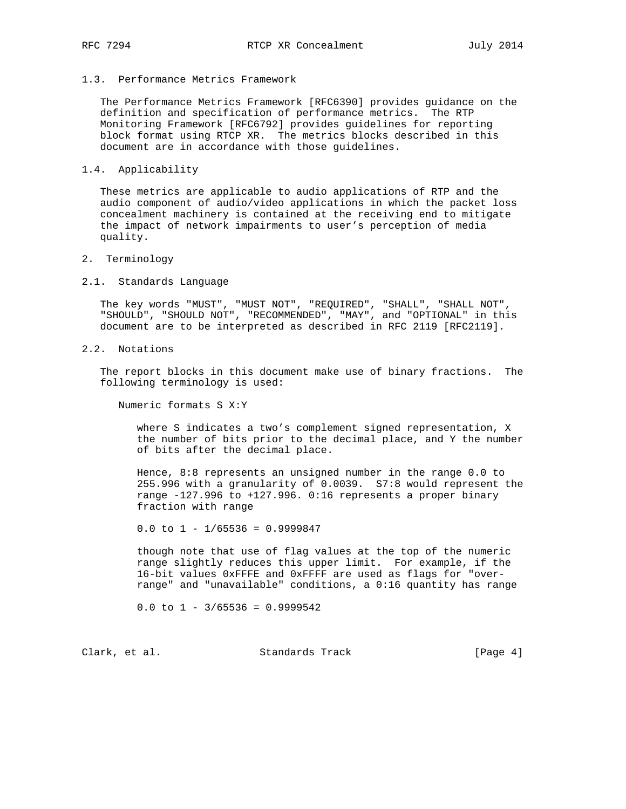#### 1.3. Performance Metrics Framework

 The Performance Metrics Framework [RFC6390] provides guidance on the definition and specification of performance metrics. The RTP Monitoring Framework [RFC6792] provides guidelines for reporting block format using RTCP XR. The metrics blocks described in this document are in accordance with those guidelines.

#### 1.4. Applicability

 These metrics are applicable to audio applications of RTP and the audio component of audio/video applications in which the packet loss concealment machinery is contained at the receiving end to mitigate the impact of network impairments to user's perception of media quality.

#### 2. Terminology

#### 2.1. Standards Language

 The key words "MUST", "MUST NOT", "REQUIRED", "SHALL", "SHALL NOT", "SHOULD", "SHOULD NOT", "RECOMMENDED", "MAY", and "OPTIONAL" in this document are to be interpreted as described in RFC 2119 [RFC2119].

## 2.2. Notations

 The report blocks in this document make use of binary fractions. The following terminology is used:

Numeric formats S X:Y

 where S indicates a two's complement signed representation, X the number of bits prior to the decimal place, and Y the number of bits after the decimal place.

 Hence, 8:8 represents an unsigned number in the range 0.0 to 255.996 with a granularity of 0.0039. S7:8 would represent the range -127.996 to +127.996. 0:16 represents a proper binary fraction with range

0.0 to  $1 - 1/65536 = 0.9999847$ 

 though note that use of flag values at the top of the numeric range slightly reduces this upper limit. For example, if the 16-bit values 0xFFFE and 0xFFFF are used as flags for "over range" and "unavailable" conditions, a 0:16 quantity has range

0.0 to  $1 - \frac{3}{65536} = 0.9999542$ 

Clark, et al. Standards Track [Page 4]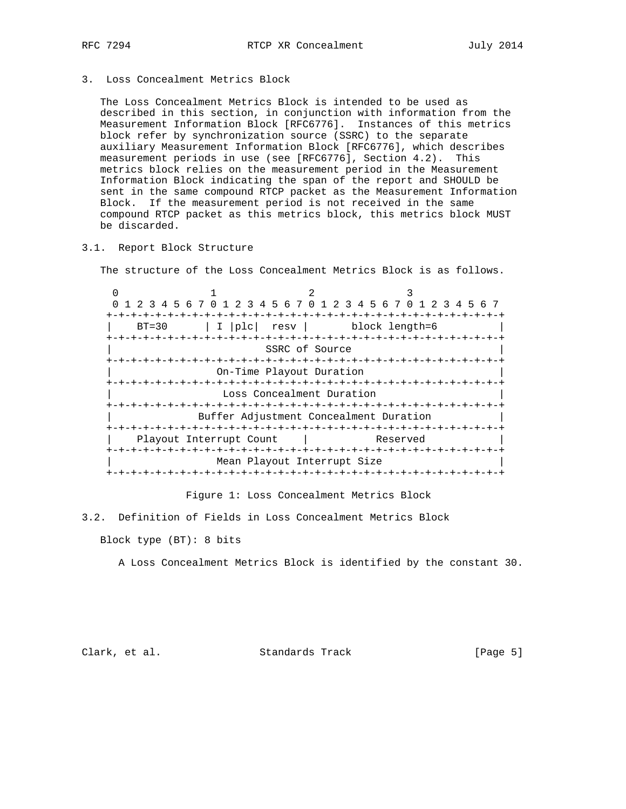3. Loss Concealment Metrics Block

 The Loss Concealment Metrics Block is intended to be used as described in this section, in conjunction with information from the Measurement Information Block [RFC6776]. Instances of this metrics block refer by synchronization source (SSRC) to the separate auxiliary Measurement Information Block [RFC6776], which describes measurement periods in use (see [RFC6776], Section 4.2). This metrics block relies on the measurement period in the Measurement Information Block indicating the span of the report and SHOULD be sent in the same compound RTCP packet as the Measurement Information Block. If the measurement period is not received in the same compound RTCP packet as this metrics block, this metrics block MUST be discarded.

## 3.1. Report Block Structure

The structure of the Loss Concealment Metrics Block is as follows.

 $0$  1 2 3 0 1 2 3 4 5 6 7 0 1 2 3 4 5 6 7 0 1 2 3 4 5 6 7 0 1 2 3 4 5 6 7 +-+-+-+-+-+-+-+-+-+-+-+-+-+-+-+-+-+-+-+-+-+-+-+-+-+-+-+-+-+-+-+-+ | BT=30 | I |plc| resv | block length=6 +-+-+-+-+-+-+-+-+-+-+-+-+-+-+-+-+-+-+-+-+-+-+-+-+-+-+-+-+-+-+-+-+ SSRC of Source +-+-+-+-+-+-+-+-+-+-+-+-+-+-+-+-+-+-+-+-+-+-+-+-+-+-+-+-+-+-+-+-+ On-Time Playout Duration +-+-+-+-+-+-+-+-+-+-+-+-+-+-+-+-+-+-+-+-+-+-+-+-+-+-+-+-+-+-+-+-+ Loss Concealment Duration +-+-+-+-+-+-+-+-+-+-+-+-+-+-+-+-+-+-+-+-+-+-+-+-+-+-+-+-+-+-+-+-+ Buffer Adjustment Concealment Duration +-+-+-+-+-+-+-+-+-+-+-+-+-+-+-+-+-+-+-+-+-+-+-+-+-+-+-+-+-+-+-+-+ Playout Interrupt Count | Reserved +-+-+-+-+-+-+-+-+-+-+-+-+-+-+-+-+-+-+-+-+-+-+-+-+-+-+-+-+-+-+-+-+ Mean Playout Interrupt Size +-+-+-+-+-+-+-+-+-+-+-+-+-+-+-+-+-+-+-+-+-+-+-+-+-+-+-+-+-+-+-+-+

Figure 1: Loss Concealment Metrics Block

3.2. Definition of Fields in Loss Concealment Metrics Block

Block type (BT): 8 bits

A Loss Concealment Metrics Block is identified by the constant 30.

Clark, et al. Standards Track [Page 5]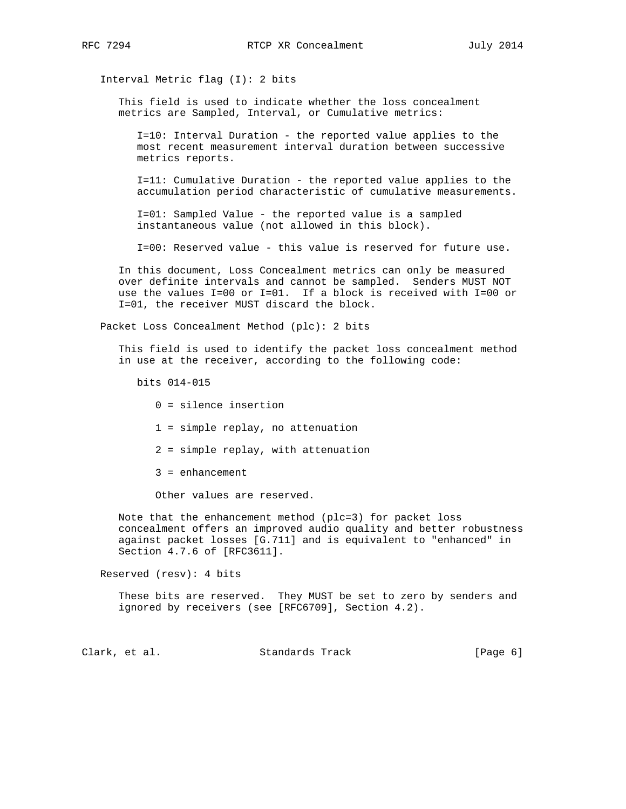Interval Metric flag (I): 2 bits

 This field is used to indicate whether the loss concealment metrics are Sampled, Interval, or Cumulative metrics:

 I=10: Interval Duration - the reported value applies to the most recent measurement interval duration between successive metrics reports.

 I=11: Cumulative Duration - the reported value applies to the accumulation period characteristic of cumulative measurements.

 I=01: Sampled Value - the reported value is a sampled instantaneous value (not allowed in this block).

I=00: Reserved value - this value is reserved for future use.

 In this document, Loss Concealment metrics can only be measured over definite intervals and cannot be sampled. Senders MUST NOT use the values I=00 or I=01. If a block is received with I=00 or I=01, the receiver MUST discard the block.

Packet Loss Concealment Method (plc): 2 bits

 This field is used to identify the packet loss concealment method in use at the receiver, according to the following code:

bits 014-015

- 0 = silence insertion
- 1 = simple replay, no attenuation
- 2 = simple replay, with attenuation
- 3 = enhancement

Other values are reserved.

 Note that the enhancement method (plc=3) for packet loss concealment offers an improved audio quality and better robustness against packet losses [G.711] and is equivalent to "enhanced" in Section 4.7.6 of [RFC3611].

Reserved (resv): 4 bits

 These bits are reserved. They MUST be set to zero by senders and ignored by receivers (see [RFC6709], Section 4.2).

Clark, et al. Standards Track [Page 6]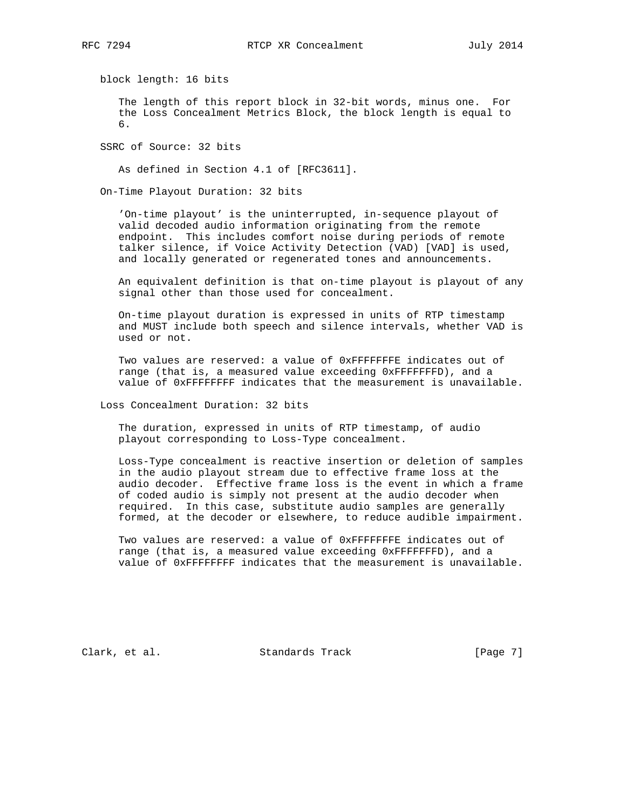block length: 16 bits

 The length of this report block in 32-bit words, minus one. For the Loss Concealment Metrics Block, the block length is equal to 6.

SSRC of Source: 32 bits

As defined in Section 4.1 of [RFC3611].

On-Time Playout Duration: 32 bits

 'On-time playout' is the uninterrupted, in-sequence playout of valid decoded audio information originating from the remote endpoint. This includes comfort noise during periods of remote talker silence, if Voice Activity Detection (VAD) [VAD] is used, and locally generated or regenerated tones and announcements.

 An equivalent definition is that on-time playout is playout of any signal other than those used for concealment.

 On-time playout duration is expressed in units of RTP timestamp and MUST include both speech and silence intervals, whether VAD is used or not.

 Two values are reserved: a value of 0xFFFFFFFE indicates out of range (that is, a measured value exceeding 0xFFFFFFFD), and a value of 0xFFFFFFFF indicates that the measurement is unavailable.

Loss Concealment Duration: 32 bits

 The duration, expressed in units of RTP timestamp, of audio playout corresponding to Loss-Type concealment.

 Loss-Type concealment is reactive insertion or deletion of samples in the audio playout stream due to effective frame loss at the audio decoder. Effective frame loss is the event in which a frame of coded audio is simply not present at the audio decoder when required. In this case, substitute audio samples are generally formed, at the decoder or elsewhere, to reduce audible impairment.

 Two values are reserved: a value of 0xFFFFFFFE indicates out of range (that is, a measured value exceeding 0xFFFFFFFD), and a value of 0xFFFFFFFF indicates that the measurement is unavailable.

Clark, et al. Standards Track [Page 7]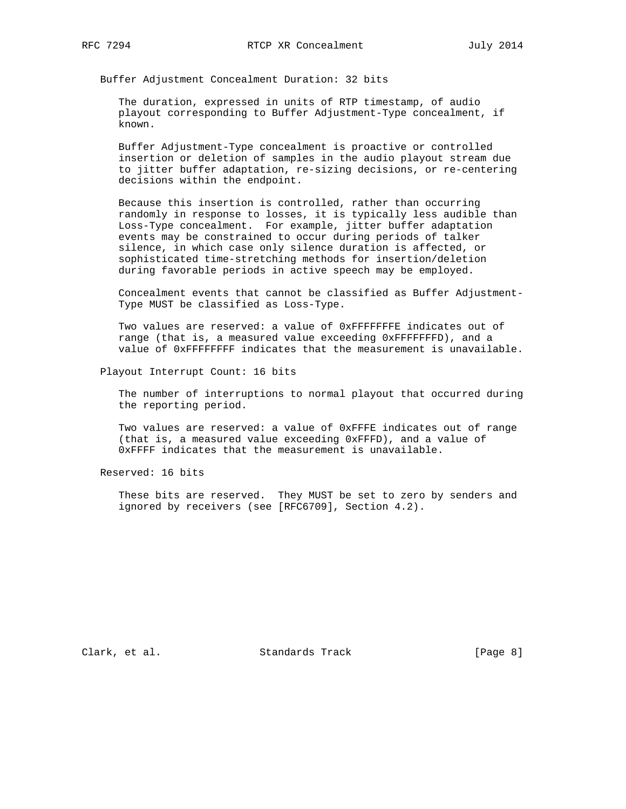Buffer Adjustment Concealment Duration: 32 bits

 The duration, expressed in units of RTP timestamp, of audio playout corresponding to Buffer Adjustment-Type concealment, if known.

 Buffer Adjustment-Type concealment is proactive or controlled insertion or deletion of samples in the audio playout stream due to jitter buffer adaptation, re-sizing decisions, or re-centering decisions within the endpoint.

 Because this insertion is controlled, rather than occurring randomly in response to losses, it is typically less audible than Loss-Type concealment. For example, jitter buffer adaptation events may be constrained to occur during periods of talker silence, in which case only silence duration is affected, or sophisticated time-stretching methods for insertion/deletion during favorable periods in active speech may be employed.

 Concealment events that cannot be classified as Buffer Adjustment- Type MUST be classified as Loss-Type.

 Two values are reserved: a value of 0xFFFFFFFE indicates out of range (that is, a measured value exceeding 0xFFFFFFFD), and a value of 0xFFFFFFFF indicates that the measurement is unavailable.

Playout Interrupt Count: 16 bits

 The number of interruptions to normal playout that occurred during the reporting period.

 Two values are reserved: a value of 0xFFFE indicates out of range (that is, a measured value exceeding 0xFFFD), and a value of 0xFFFF indicates that the measurement is unavailable.

Reserved: 16 bits

 These bits are reserved. They MUST be set to zero by senders and ignored by receivers (see [RFC6709], Section 4.2).

Clark, et al. Standards Track [Page 8]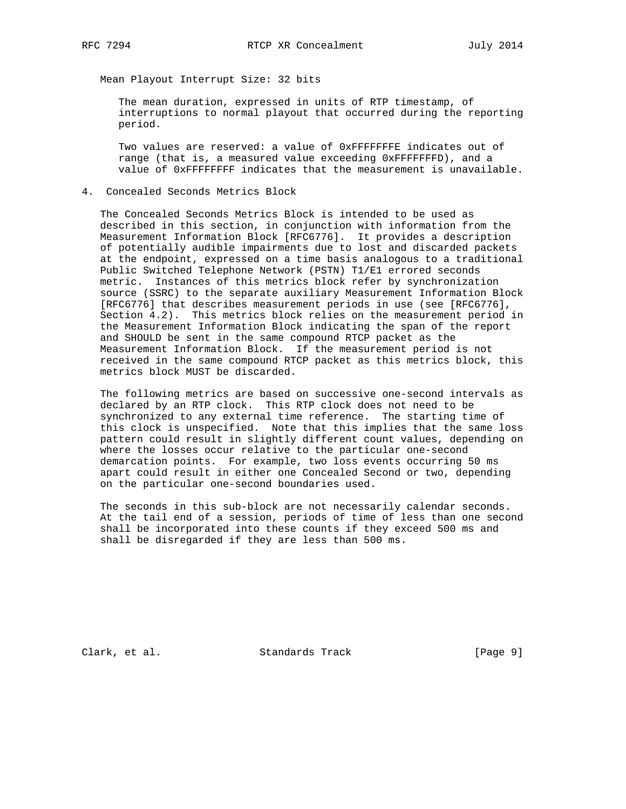Mean Playout Interrupt Size: 32 bits

 The mean duration, expressed in units of RTP timestamp, of interruptions to normal playout that occurred during the reporting period.

 Two values are reserved: a value of 0xFFFFFFFE indicates out of range (that is, a measured value exceeding 0xFFFFFFFD), and a value of 0xFFFFFFFF indicates that the measurement is unavailable.

4. Concealed Seconds Metrics Block

 The Concealed Seconds Metrics Block is intended to be used as described in this section, in conjunction with information from the Measurement Information Block [RFC6776]. It provides a description of potentially audible impairments due to lost and discarded packets at the endpoint, expressed on a time basis analogous to a traditional Public Switched Telephone Network (PSTN) T1/E1 errored seconds metric. Instances of this metrics block refer by synchronization source (SSRC) to the separate auxiliary Measurement Information Block [RFC6776] that describes measurement periods in use (see [RFC6776], Section 4.2). This metrics block relies on the measurement period in the Measurement Information Block indicating the span of the report and SHOULD be sent in the same compound RTCP packet as the Measurement Information Block. If the measurement period is not received in the same compound RTCP packet as this metrics block, this metrics block MUST be discarded.

 The following metrics are based on successive one-second intervals as declared by an RTP clock. This RTP clock does not need to be synchronized to any external time reference. The starting time of this clock is unspecified. Note that this implies that the same loss pattern could result in slightly different count values, depending on where the losses occur relative to the particular one-second demarcation points. For example, two loss events occurring 50 ms apart could result in either one Concealed Second or two, depending on the particular one-second boundaries used.

 The seconds in this sub-block are not necessarily calendar seconds. At the tail end of a session, periods of time of less than one second shall be incorporated into these counts if they exceed 500 ms and shall be disregarded if they are less than 500 ms.

Clark, et al. Standards Track [Page 9]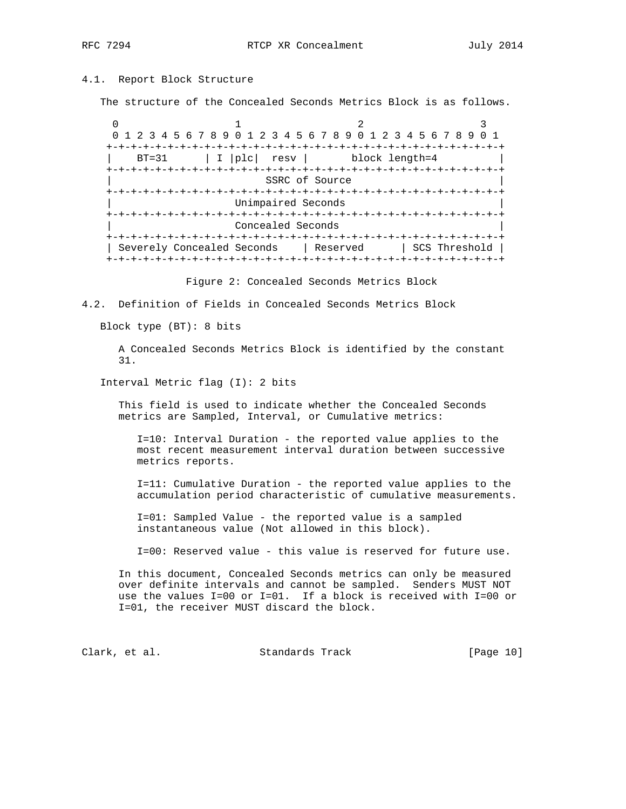## 4.1. Report Block Structure

The structure of the Concealed Seconds Metrics Block is as follows.

 $0$  1 2 3 0 1 2 3 4 5 6 7 8 9 0 1 2 3 4 5 6 7 8 9 0 1 2 3 4 5 6 7 8 9 0 1 +-+-+-+-+-+-+-+-+-+-+-+-+-+-+-+-+-+-+-+-+-+-+-+-+-+-+-+-+-+-+-+-+ BT=31 | I | plc | resv | block length=4 +-+-+-+-+-+-+-+-+-+-+-+-+-+-+-+-+-+-+-+-+-+-+-+-+-+-+-+-+-+-+-+-+ SSRC of Source +-+-+-+-+-+-+-+-+-+-+-+-+-+-+-+-+-+-+-+-+-+-+-+-+-+-+-+-+-+-+-+-+ Unimpaired Seconds +-+-+-+-+-+-+-+-+-+-+-+-+-+-+-+-+-+-+-+-+-+-+-+-+-+-+-+-+-+-+-+-+ Concealed Seconds +-+-+-+-+-+-+-+-+-+-+-+-+-+-+-+-+-+-+-+-+-+-+-+-+-+-+-+-+-+-+-+-+ | Severely Concealed Seconds | Reserved | SCS Threshold | +-+-+-+-+-+-+-+-+-+-+-+-+-+-+-+-+-+-+-+-+-+-+-+-+-+-+-+-+-+-+-+-+

Figure 2: Concealed Seconds Metrics Block

4.2. Definition of Fields in Concealed Seconds Metrics Block

Block type (BT): 8 bits

 A Concealed Seconds Metrics Block is identified by the constant 31.

Interval Metric flag (I): 2 bits

 This field is used to indicate whether the Concealed Seconds metrics are Sampled, Interval, or Cumulative metrics:

 I=10: Interval Duration - the reported value applies to the most recent measurement interval duration between successive metrics reports.

 I=11: Cumulative Duration - the reported value applies to the accumulation period characteristic of cumulative measurements.

 I=01: Sampled Value - the reported value is a sampled instantaneous value (Not allowed in this block).

I=00: Reserved value - this value is reserved for future use.

 In this document, Concealed Seconds metrics can only be measured over definite intervals and cannot be sampled. Senders MUST NOT use the values I=00 or I=01. If a block is received with I=00 or I=01, the receiver MUST discard the block.

Clark, et al. Standards Track [Page 10]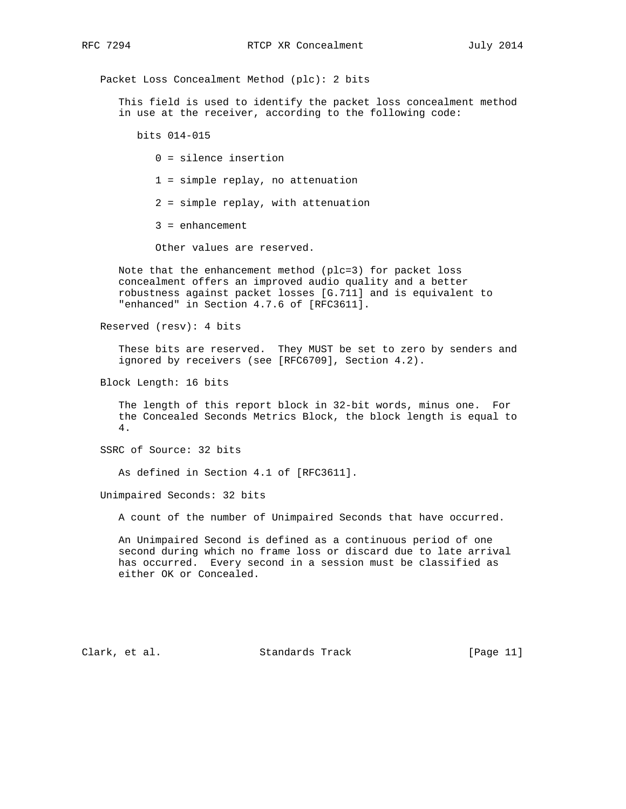Packet Loss Concealment Method (plc): 2 bits

 This field is used to identify the packet loss concealment method in use at the receiver, according to the following code:

bits 014-015

- 0 = silence insertion
- 1 = simple replay, no attenuation
- 2 = simple replay, with attenuation
- 3 = enhancement

Other values are reserved.

 Note that the enhancement method (plc=3) for packet loss concealment offers an improved audio quality and a better robustness against packet losses [G.711] and is equivalent to "enhanced" in Section 4.7.6 of [RFC3611].

Reserved (resv): 4 bits

 These bits are reserved. They MUST be set to zero by senders and ignored by receivers (see [RFC6709], Section 4.2).

Block Length: 16 bits

 The length of this report block in 32-bit words, minus one. For the Concealed Seconds Metrics Block, the block length is equal to 4.

SSRC of Source: 32 bits

As defined in Section 4.1 of [RFC3611].

Unimpaired Seconds: 32 bits

A count of the number of Unimpaired Seconds that have occurred.

 An Unimpaired Second is defined as a continuous period of one second during which no frame loss or discard due to late arrival has occurred. Every second in a session must be classified as either OK or Concealed.

Clark, et al. Standards Track [Page 11]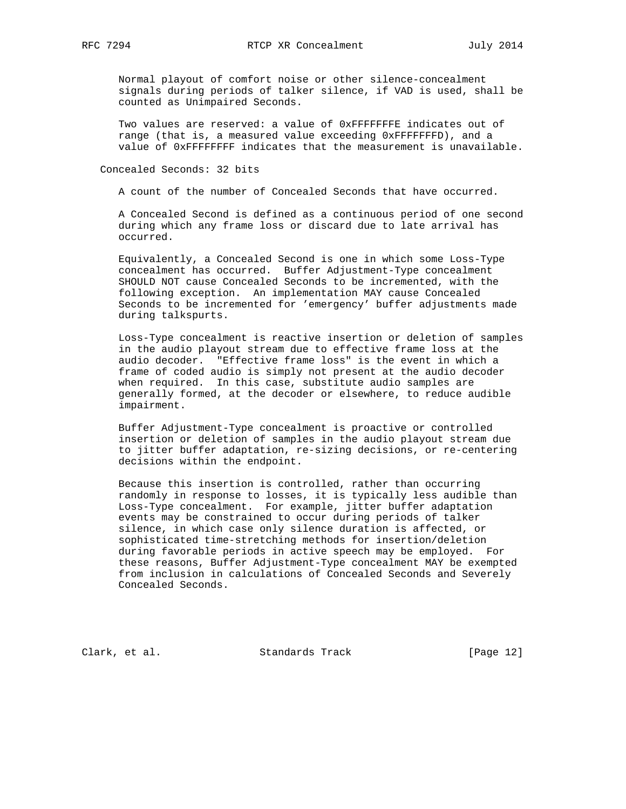Normal playout of comfort noise or other silence-concealment signals during periods of talker silence, if VAD is used, shall be counted as Unimpaired Seconds.

 Two values are reserved: a value of 0xFFFFFFFE indicates out of range (that is, a measured value exceeding 0xFFFFFFFD), and a value of 0xFFFFFFFF indicates that the measurement is unavailable.

Concealed Seconds: 32 bits

A count of the number of Concealed Seconds that have occurred.

 A Concealed Second is defined as a continuous period of one second during which any frame loss or discard due to late arrival has occurred.

 Equivalently, a Concealed Second is one in which some Loss-Type concealment has occurred. Buffer Adjustment-Type concealment SHOULD NOT cause Concealed Seconds to be incremented, with the following exception. An implementation MAY cause Concealed Seconds to be incremented for 'emergency' buffer adjustments made during talkspurts.

 Loss-Type concealment is reactive insertion or deletion of samples in the audio playout stream due to effective frame loss at the audio decoder. "Effective frame loss" is the event in which a frame of coded audio is simply not present at the audio decoder when required. In this case, substitute audio samples are generally formed, at the decoder or elsewhere, to reduce audible impairment.

 Buffer Adjustment-Type concealment is proactive or controlled insertion or deletion of samples in the audio playout stream due to jitter buffer adaptation, re-sizing decisions, or re-centering decisions within the endpoint.

 Because this insertion is controlled, rather than occurring randomly in response to losses, it is typically less audible than Loss-Type concealment. For example, jitter buffer adaptation events may be constrained to occur during periods of talker silence, in which case only silence duration is affected, or sophisticated time-stretching methods for insertion/deletion during favorable periods in active speech may be employed. For these reasons, Buffer Adjustment-Type concealment MAY be exempted from inclusion in calculations of Concealed Seconds and Severely Concealed Seconds.

Clark, et al. Standards Track [Page 12]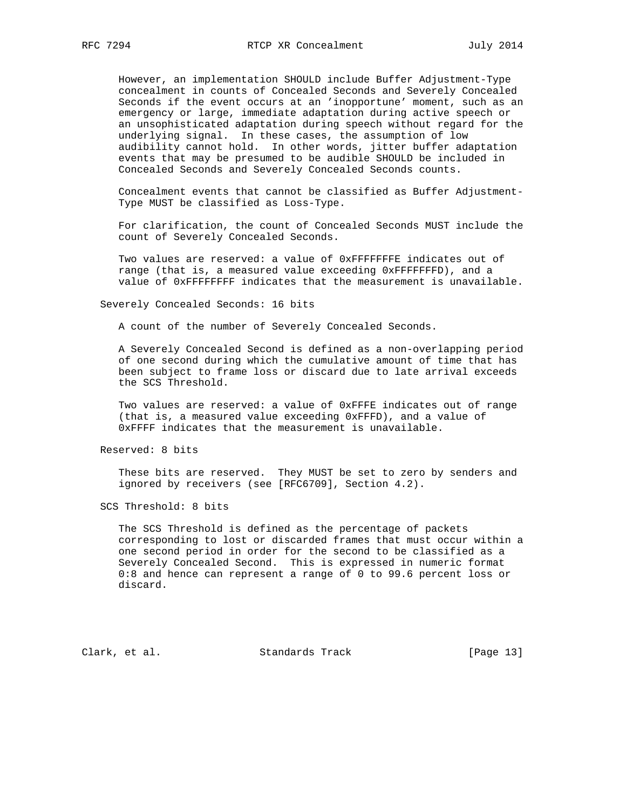However, an implementation SHOULD include Buffer Adjustment-Type concealment in counts of Concealed Seconds and Severely Concealed Seconds if the event occurs at an 'inopportune' moment, such as an emergency or large, immediate adaptation during active speech or an unsophisticated adaptation during speech without regard for the underlying signal. In these cases, the assumption of low audibility cannot hold. In other words, jitter buffer adaptation events that may be presumed to be audible SHOULD be included in Concealed Seconds and Severely Concealed Seconds counts.

 Concealment events that cannot be classified as Buffer Adjustment- Type MUST be classified as Loss-Type.

 For clarification, the count of Concealed Seconds MUST include the count of Severely Concealed Seconds.

 Two values are reserved: a value of 0xFFFFFFFE indicates out of range (that is, a measured value exceeding 0xFFFFFFFD), and a value of 0xFFFFFFFF indicates that the measurement is unavailable.

Severely Concealed Seconds: 16 bits

A count of the number of Severely Concealed Seconds.

 A Severely Concealed Second is defined as a non-overlapping period of one second during which the cumulative amount of time that has been subject to frame loss or discard due to late arrival exceeds the SCS Threshold.

 Two values are reserved: a value of 0xFFFE indicates out of range (that is, a measured value exceeding 0xFFFD), and a value of 0xFFFF indicates that the measurement is unavailable.

Reserved: 8 bits

 These bits are reserved. They MUST be set to zero by senders and ignored by receivers (see [RFC6709], Section 4.2).

SCS Threshold: 8 bits

 The SCS Threshold is defined as the percentage of packets corresponding to lost or discarded frames that must occur within a one second period in order for the second to be classified as a Severely Concealed Second. This is expressed in numeric format 0:8 and hence can represent a range of 0 to 99.6 percent loss or discard.

Clark, et al. Standards Track [Page 13]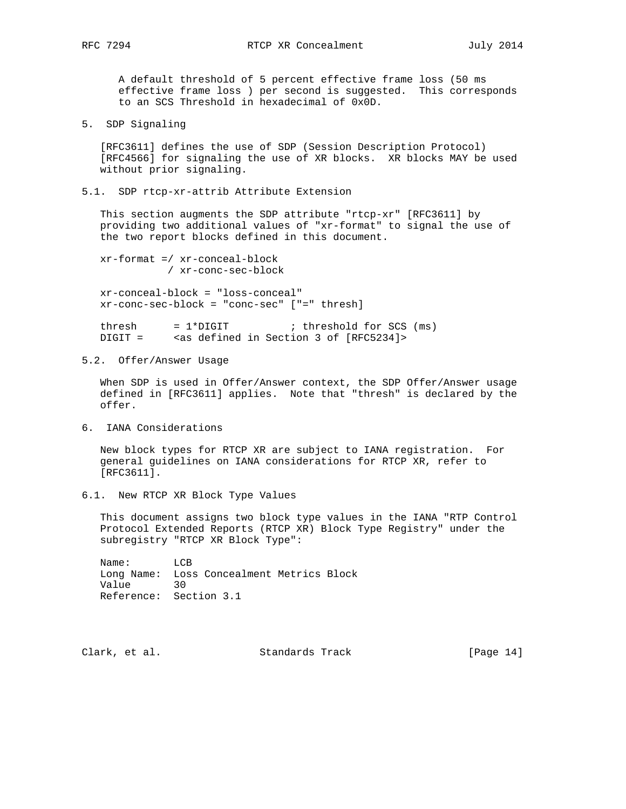A default threshold of 5 percent effective frame loss (50 ms effective frame loss ) per second is suggested. This corresponds to an SCS Threshold in hexadecimal of 0x0D.

5. SDP Signaling

 [RFC3611] defines the use of SDP (Session Description Protocol) [RFC4566] for signaling the use of XR blocks. XR blocks MAY be used without prior signaling.

5.1. SDP rtcp-xr-attrib Attribute Extension

 This section augments the SDP attribute "rtcp-xr" [RFC3611] by providing two additional values of "xr-format" to signal the use of the two report blocks defined in this document.

 xr-format =/ xr-conceal-block / xr-conc-sec-block

 xr-conceal-block = "loss-conceal" xr-conc-sec-block = "conc-sec" ["=" thresh]

thresh  $= 1*$ DIGIT ; threshold for SCS (ms) DIGIT = <as defined in Section 3 of [RFC5234]>

5.2. Offer/Answer Usage

 When SDP is used in Offer/Answer context, the SDP Offer/Answer usage defined in [RFC3611] applies. Note that "thresh" is declared by the offer.

6. IANA Considerations

 New block types for RTCP XR are subject to IANA registration. For general guidelines on IANA considerations for RTCP XR, refer to [RFC3611].

6.1. New RTCP XR Block Type Values

 This document assigns two block type values in the IANA "RTP Control Protocol Extended Reports (RTCP XR) Block Type Registry" under the subregistry "RTCP XR Block Type":

 Name: LCB Long Name: Loss Concealment Metrics Block Value 30 Reference: Section 3.1

Clark, et al. Standards Track [Page 14]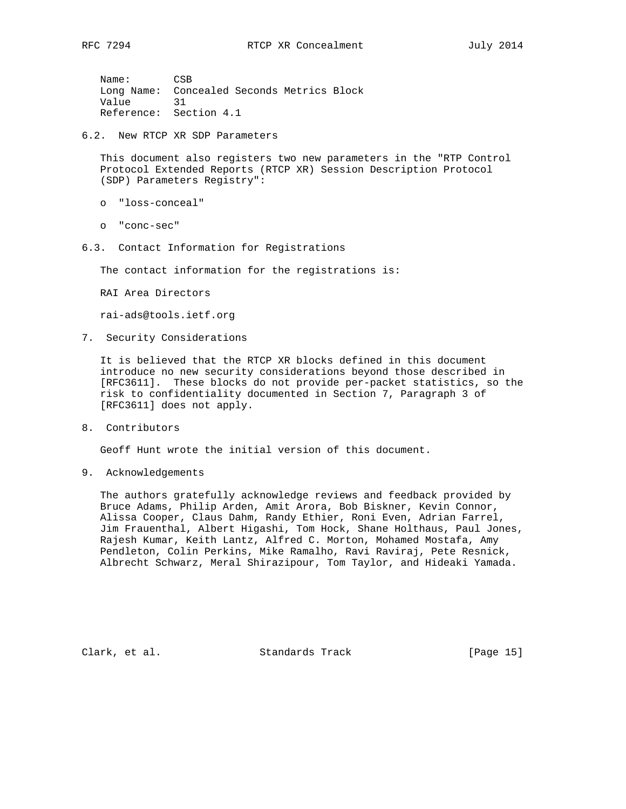Name: CSB Long Name: Concealed Seconds Metrics Block Value 31 Reference: Section 4.1

6.2. New RTCP XR SDP Parameters

 This document also registers two new parameters in the "RTP Control Protocol Extended Reports (RTCP XR) Session Description Protocol (SDP) Parameters Registry":

- o "loss-conceal"
- o "conc-sec"
- 6.3. Contact Information for Registrations

The contact information for the registrations is:

RAI Area Directors

rai-ads@tools.ietf.org

7. Security Considerations

 It is believed that the RTCP XR blocks defined in this document introduce no new security considerations beyond those described in [RFC3611]. These blocks do not provide per-packet statistics, so the risk to confidentiality documented in Section 7, Paragraph 3 of [RFC3611] does not apply.

8. Contributors

Geoff Hunt wrote the initial version of this document.

9. Acknowledgements

 The authors gratefully acknowledge reviews and feedback provided by Bruce Adams, Philip Arden, Amit Arora, Bob Biskner, Kevin Connor, Alissa Cooper, Claus Dahm, Randy Ethier, Roni Even, Adrian Farrel, Jim Frauenthal, Albert Higashi, Tom Hock, Shane Holthaus, Paul Jones, Rajesh Kumar, Keith Lantz, Alfred C. Morton, Mohamed Mostafa, Amy Pendleton, Colin Perkins, Mike Ramalho, Ravi Raviraj, Pete Resnick, Albrecht Schwarz, Meral Shirazipour, Tom Taylor, and Hideaki Yamada.

Clark, et al. Standards Track [Page 15]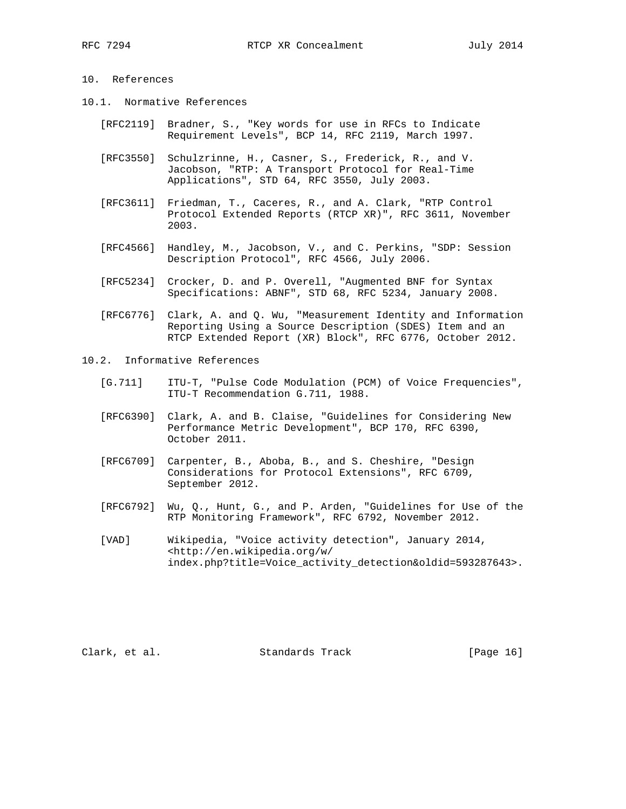## 10. References

- 10.1. Normative References
	- [RFC2119] Bradner, S., "Key words for use in RFCs to Indicate Requirement Levels", BCP 14, RFC 2119, March 1997.
	- [RFC3550] Schulzrinne, H., Casner, S., Frederick, R., and V. Jacobson, "RTP: A Transport Protocol for Real-Time Applications", STD 64, RFC 3550, July 2003.
	- [RFC3611] Friedman, T., Caceres, R., and A. Clark, "RTP Control Protocol Extended Reports (RTCP XR)", RFC 3611, November 2003.
	- [RFC4566] Handley, M., Jacobson, V., and C. Perkins, "SDP: Session Description Protocol", RFC 4566, July 2006.
	- [RFC5234] Crocker, D. and P. Overell, "Augmented BNF for Syntax Specifications: ABNF", STD 68, RFC 5234, January 2008.
	- [RFC6776] Clark, A. and Q. Wu, "Measurement Identity and Information Reporting Using a Source Description (SDES) Item and an RTCP Extended Report (XR) Block", RFC 6776, October 2012.
- 10.2. Informative References
	- [G.711] ITU-T, "Pulse Code Modulation (PCM) of Voice Frequencies", ITU-T Recommendation G.711, 1988.
	- [RFC6390] Clark, A. and B. Claise, "Guidelines for Considering New Performance Metric Development", BCP 170, RFC 6390, October 2011.
	- [RFC6709] Carpenter, B., Aboba, B., and S. Cheshire, "Design Considerations for Protocol Extensions", RFC 6709, September 2012.
	- [RFC6792] Wu, Q., Hunt, G., and P. Arden, "Guidelines for Use of the RTP Monitoring Framework", RFC 6792, November 2012.
	- [VAD] Wikipedia, "Voice activity detection", January 2014, <http://en.wikipedia.org/w/ index.php?title=Voice\_activity\_detection&oldid=593287643>.

Clark, et al. Standards Track [Page 16]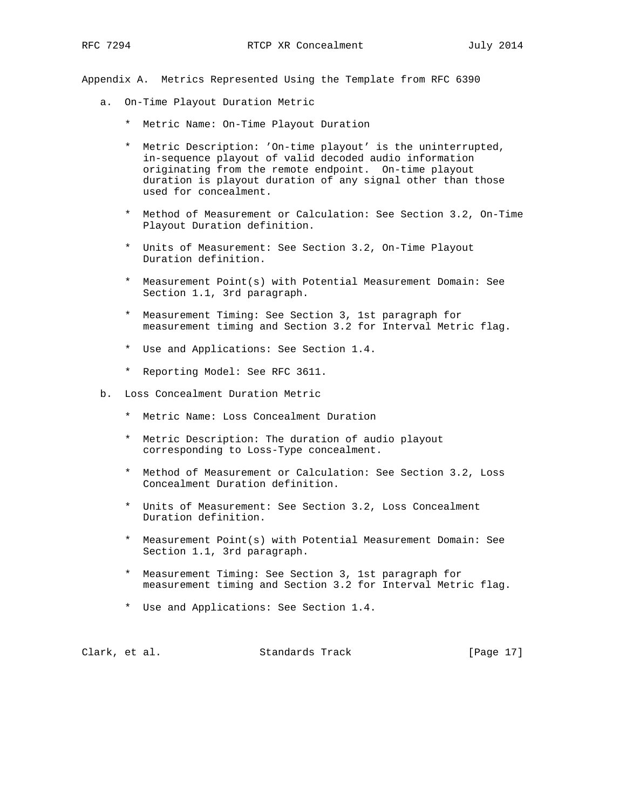Appendix A. Metrics Represented Using the Template from RFC 6390

- a. On-Time Playout Duration Metric
	- \* Metric Name: On-Time Playout Duration
	- \* Metric Description: 'On-time playout' is the uninterrupted, in-sequence playout of valid decoded audio information originating from the remote endpoint. On-time playout duration is playout duration of any signal other than those used for concealment.
	- \* Method of Measurement or Calculation: See Section 3.2, On-Time Playout Duration definition.
	- \* Units of Measurement: See Section 3.2, On-Time Playout Duration definition.
	- \* Measurement Point(s) with Potential Measurement Domain: See Section 1.1, 3rd paragraph.
	- \* Measurement Timing: See Section 3, 1st paragraph for measurement timing and Section 3.2 for Interval Metric flag.
	- \* Use and Applications: See Section 1.4.
	- \* Reporting Model: See RFC 3611.
- b. Loss Concealment Duration Metric
	- \* Metric Name: Loss Concealment Duration
	- \* Metric Description: The duration of audio playout corresponding to Loss-Type concealment.
	- \* Method of Measurement or Calculation: See Section 3.2, Loss Concealment Duration definition.
	- \* Units of Measurement: See Section 3.2, Loss Concealment Duration definition.
	- \* Measurement Point(s) with Potential Measurement Domain: See Section 1.1, 3rd paragraph.
	- \* Measurement Timing: See Section 3, 1st paragraph for measurement timing and Section 3.2 for Interval Metric flag.
	- \* Use and Applications: See Section 1.4.

| [Page 17]<br>Clark, et al.<br>Standards Track |  |  |  |  |  |  |  |  |
|-----------------------------------------------|--|--|--|--|--|--|--|--|
|-----------------------------------------------|--|--|--|--|--|--|--|--|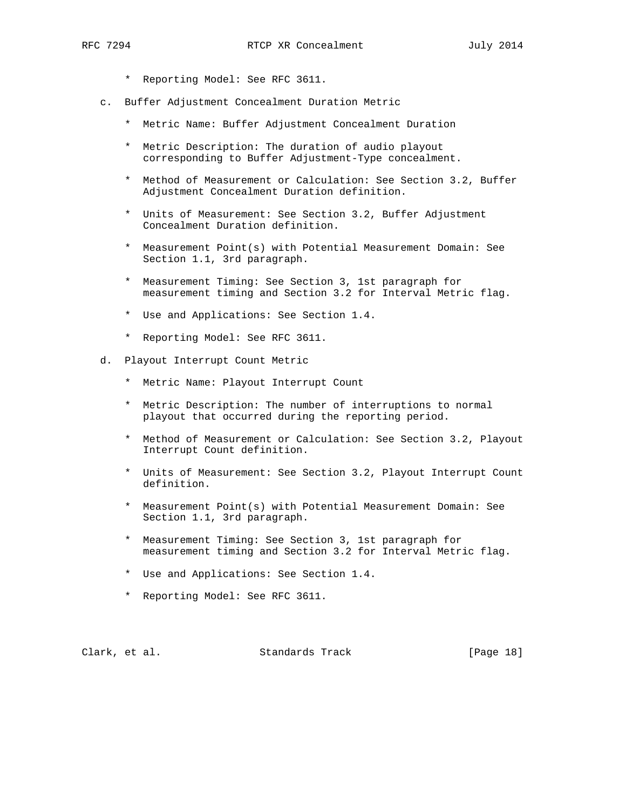- \* Reporting Model: See RFC 3611.
- c. Buffer Adjustment Concealment Duration Metric
	- \* Metric Name: Buffer Adjustment Concealment Duration
	- \* Metric Description: The duration of audio playout corresponding to Buffer Adjustment-Type concealment.
	- \* Method of Measurement or Calculation: See Section 3.2, Buffer Adjustment Concealment Duration definition.
	- \* Units of Measurement: See Section 3.2, Buffer Adjustment Concealment Duration definition.
	- \* Measurement Point(s) with Potential Measurement Domain: See Section 1.1, 3rd paragraph.
	- \* Measurement Timing: See Section 3, 1st paragraph for measurement timing and Section 3.2 for Interval Metric flag.
	- \* Use and Applications: See Section 1.4.
	- \* Reporting Model: See RFC 3611.
- d. Playout Interrupt Count Metric
	- \* Metric Name: Playout Interrupt Count
	- \* Metric Description: The number of interruptions to normal playout that occurred during the reporting period.
	- \* Method of Measurement or Calculation: See Section 3.2, Playout Interrupt Count definition.
	- \* Units of Measurement: See Section 3.2, Playout Interrupt Count definition.
	- \* Measurement Point(s) with Potential Measurement Domain: See Section 1.1, 3rd paragraph.
	- \* Measurement Timing: See Section 3, 1st paragraph for measurement timing and Section 3.2 for Interval Metric flag.
	- \* Use and Applications: See Section 1.4.
	- \* Reporting Model: See RFC 3611.

Clark, et al. Standards Track [Page 18]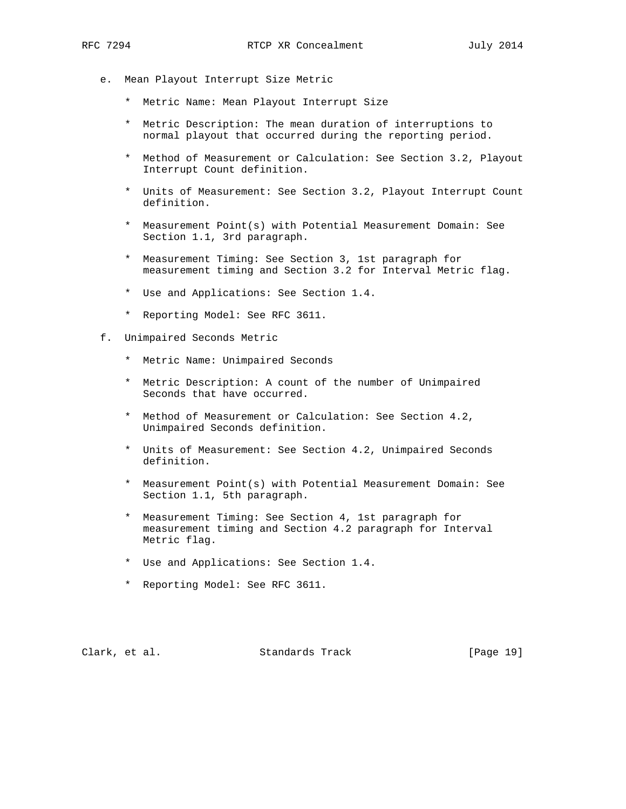- e. Mean Playout Interrupt Size Metric
	- \* Metric Name: Mean Playout Interrupt Size
	- \* Metric Description: The mean duration of interruptions to normal playout that occurred during the reporting period.
	- \* Method of Measurement or Calculation: See Section 3.2, Playout Interrupt Count definition.
	- \* Units of Measurement: See Section 3.2, Playout Interrupt Count definition.
	- \* Measurement Point(s) with Potential Measurement Domain: See Section 1.1, 3rd paragraph.
	- \* Measurement Timing: See Section 3, 1st paragraph for measurement timing and Section 3.2 for Interval Metric flag.
	- \* Use and Applications: See Section 1.4.
	- \* Reporting Model: See RFC 3611.
- f. Unimpaired Seconds Metric
	- \* Metric Name: Unimpaired Seconds
	- \* Metric Description: A count of the number of Unimpaired Seconds that have occurred.
	- \* Method of Measurement or Calculation: See Section 4.2, Unimpaired Seconds definition.
	- \* Units of Measurement: See Section 4.2, Unimpaired Seconds definition.
	- \* Measurement Point(s) with Potential Measurement Domain: See Section 1.1, 5th paragraph.
	- \* Measurement Timing: See Section 4, 1st paragraph for measurement timing and Section 4.2 paragraph for Interval Metric flag.
	- \* Use and Applications: See Section 1.4.
	- \* Reporting Model: See RFC 3611.

Clark, et al. Standards Track [Page 19]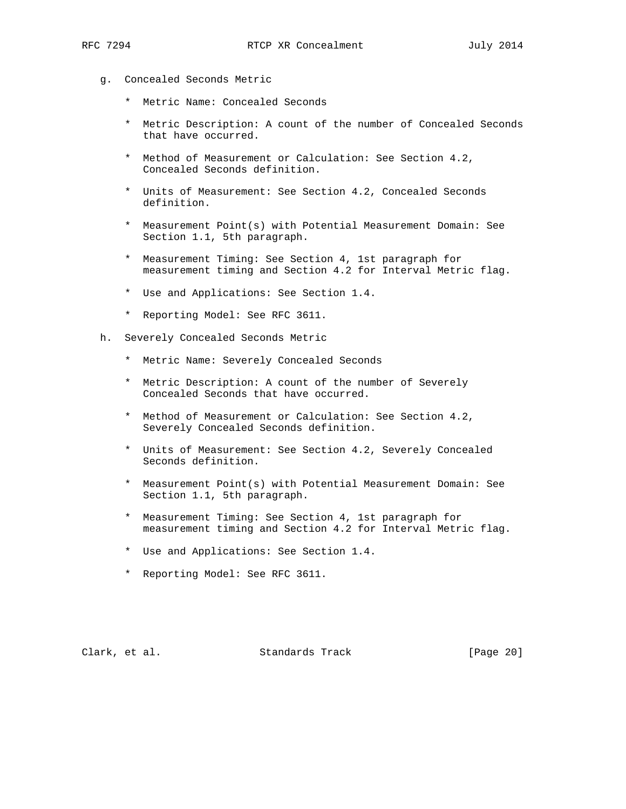- g. Concealed Seconds Metric
	- \* Metric Name: Concealed Seconds
	- \* Metric Description: A count of the number of Concealed Seconds that have occurred.
	- \* Method of Measurement or Calculation: See Section 4.2, Concealed Seconds definition.
	- \* Units of Measurement: See Section 4.2, Concealed Seconds definition.
	- \* Measurement Point(s) with Potential Measurement Domain: See Section 1.1, 5th paragraph.
	- \* Measurement Timing: See Section 4, 1st paragraph for measurement timing and Section 4.2 for Interval Metric flag.
	- \* Use and Applications: See Section 1.4.
	- \* Reporting Model: See RFC 3611.
- h. Severely Concealed Seconds Metric
	- \* Metric Name: Severely Concealed Seconds
	- \* Metric Description: A count of the number of Severely Concealed Seconds that have occurred.
	- \* Method of Measurement or Calculation: See Section 4.2, Severely Concealed Seconds definition.
	- \* Units of Measurement: See Section 4.2, Severely Concealed Seconds definition.
	- \* Measurement Point(s) with Potential Measurement Domain: See Section 1.1, 5th paragraph.
	- \* Measurement Timing: See Section 4, 1st paragraph for measurement timing and Section 4.2 for Interval Metric flag.
	- \* Use and Applications: See Section 1.4.
	- \* Reporting Model: See RFC 3611.

Clark, et al. Standards Track [Page 20]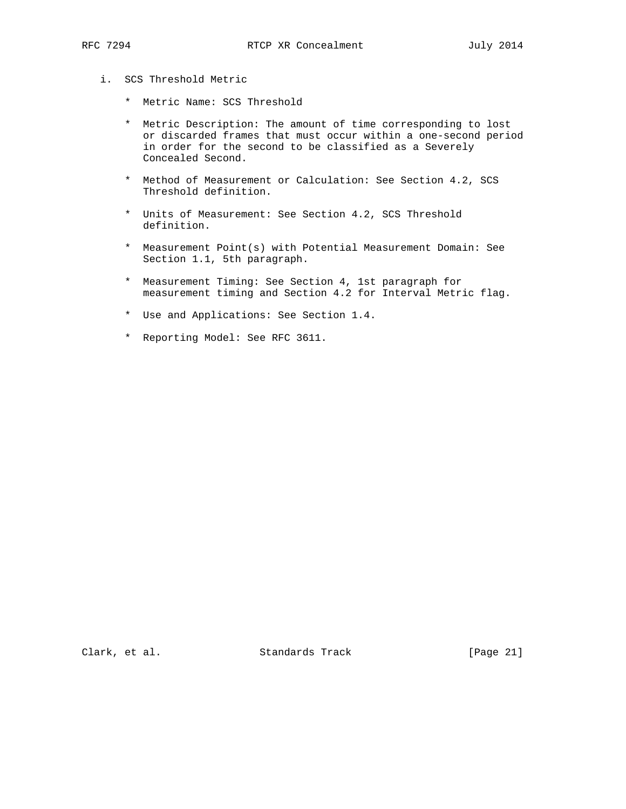- i. SCS Threshold Metric
	- \* Metric Name: SCS Threshold
	- \* Metric Description: The amount of time corresponding to lost or discarded frames that must occur within a one-second period in order for the second to be classified as a Severely Concealed Second.
	- \* Method of Measurement or Calculation: See Section 4.2, SCS Threshold definition.
	- \* Units of Measurement: See Section 4.2, SCS Threshold definition.
	- \* Measurement Point(s) with Potential Measurement Domain: See Section 1.1, 5th paragraph.
	- \* Measurement Timing: See Section 4, 1st paragraph for measurement timing and Section 4.2 for Interval Metric flag.
	- \* Use and Applications: See Section 1.4.
	- \* Reporting Model: See RFC 3611.

Clark, et al. Standards Track [Page 21]